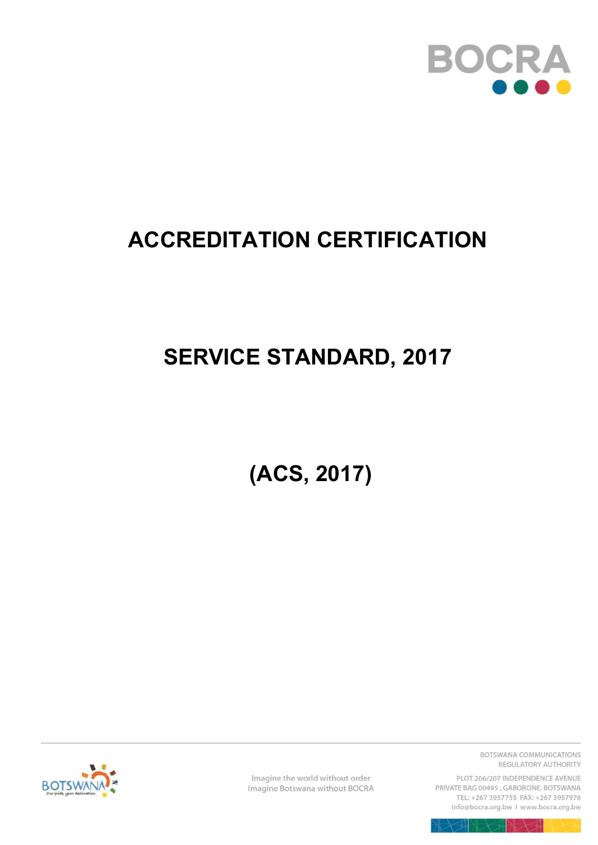

# **ACCREDITATION CERTIFICATION**

# **SERVICE STANDARD, 2017**

 **(ACS, 2017)** 



Imagine the world without order Imagine Botswana without BOCRA BOTSWANA COMMUNICATIONS REGULATORY AUTHORITY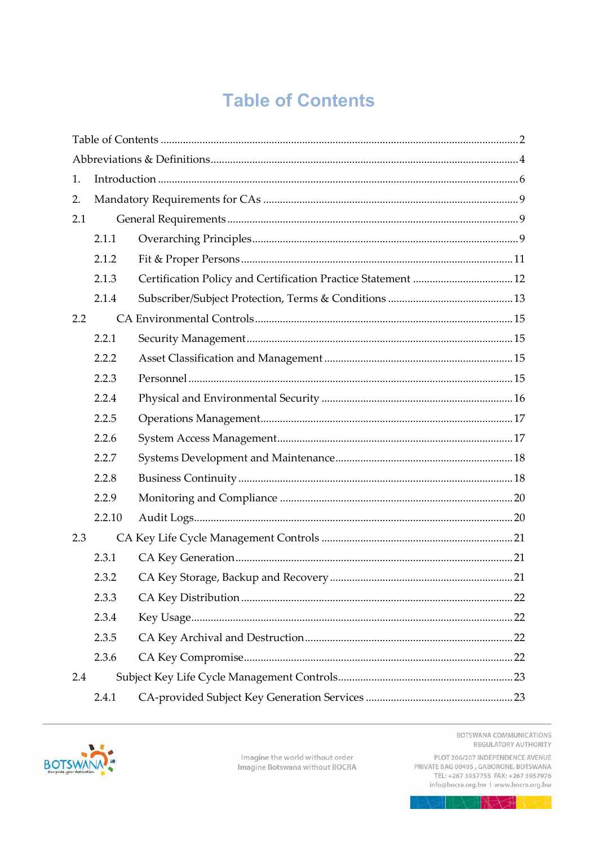# **Table of Contents**

<span id="page-1-0"></span>

| 1.  |        |  |  |  |
|-----|--------|--|--|--|
| 2.  |        |  |  |  |
| 2.1 |        |  |  |  |
|     | 2.1.1  |  |  |  |
|     | 2.1.2  |  |  |  |
|     | 2.1.3  |  |  |  |
|     | 2.1.4  |  |  |  |
| 2.2 |        |  |  |  |
|     | 2.2.1  |  |  |  |
|     | 2.2.2  |  |  |  |
|     | 2.2.3  |  |  |  |
|     | 2.2.4  |  |  |  |
|     | 2.2.5  |  |  |  |
|     | 2.2.6  |  |  |  |
|     | 2.2.7  |  |  |  |
|     | 2.2.8  |  |  |  |
|     | 2.2.9  |  |  |  |
|     | 2.2.10 |  |  |  |
| 2.3 |        |  |  |  |
|     | 2.3.1  |  |  |  |
|     | 2.3.2  |  |  |  |
|     | 2.3.3  |  |  |  |
|     | 2.3.4  |  |  |  |
|     | 2.3.5  |  |  |  |
|     | 2.3.6  |  |  |  |
| 2.4 |        |  |  |  |
|     | 2.4.1  |  |  |  |



Imagine the world without order<br>Imagine Botswana without BOCRA

BOTSWANA COMMUNICATIONS REGULATORY AUTHORITY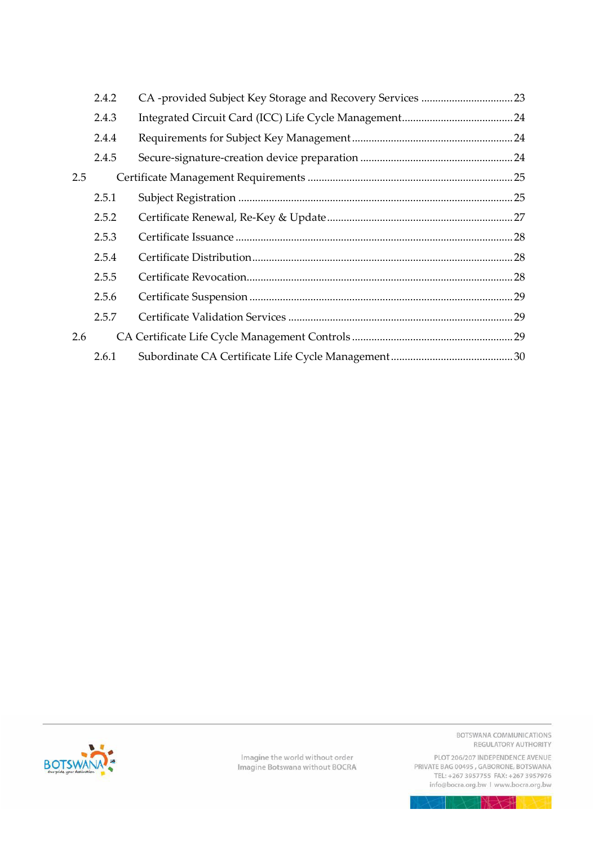|     | 2.4.2 |  |
|-----|-------|--|
|     | 2.4.3 |  |
|     | 2.4.4 |  |
|     | 2.4.5 |  |
| 2.5 |       |  |
|     | 2.5.1 |  |
|     | 2.5.2 |  |
|     | 2.5.3 |  |
|     | 2.5.4 |  |
|     | 2.5.5 |  |
|     | 2.5.6 |  |
|     | 2.5.7 |  |
| 2.6 |       |  |
|     | 2.6.1 |  |

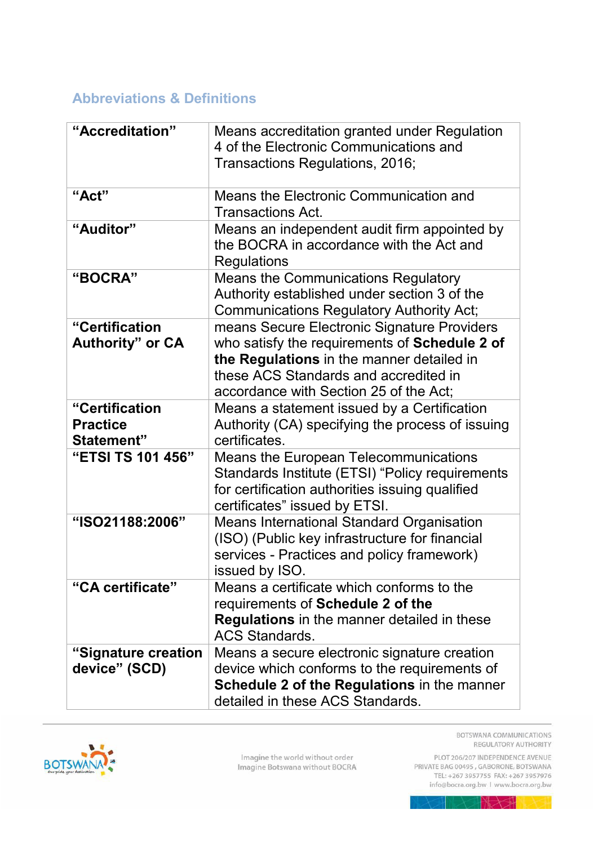# <span id="page-3-0"></span>**Abbreviations & Definitions**

| "Accreditation"                                        | Means accreditation granted under Regulation<br>4 of the Electronic Communications and<br>Transactions Regulations, 2016;                                                                                                    |
|--------------------------------------------------------|------------------------------------------------------------------------------------------------------------------------------------------------------------------------------------------------------------------------------|
| "Act"                                                  | Means the Electronic Communication and<br>Transactions Act.                                                                                                                                                                  |
| "Auditor"                                              | Means an independent audit firm appointed by<br>the BOCRA in accordance with the Act and<br>Regulations                                                                                                                      |
| "BOCRA"                                                | <b>Means the Communications Regulatory</b><br>Authority established under section 3 of the<br><b>Communications Regulatory Authority Act;</b>                                                                                |
| "Certification<br><b>Authority</b> " or CA             | means Secure Electronic Signature Providers<br>who satisfy the requirements of Schedule 2 of<br>the Regulations in the manner detailed in<br>these ACS Standards and accredited in<br>accordance with Section 25 of the Act; |
| "Certification<br><b>Practice</b><br><b>Statement"</b> | Means a statement issued by a Certification<br>Authority (CA) specifying the process of issuing<br>certificates.                                                                                                             |
| "ETSI TS 101 456"                                      | <b>Means the European Telecommunications</b><br>Standards Institute (ETSI) "Policy requirements<br>for certification authorities issuing qualified<br>certificates" issued by ETSI.                                          |
| "ISO21188:2006"                                        | <b>Means International Standard Organisation</b><br>(ISO) (Public key infrastructure for financial<br>services - Practices and policy framework)<br>issued by ISO.                                                           |
| "CA certificate"                                       | Means a certificate which conforms to the<br>requirements of Schedule 2 of the<br>Regulations in the manner detailed in these<br><b>ACS Standards.</b>                                                                       |
| "Signature creation<br>device" (SCD)                   | Means a secure electronic signature creation<br>device which conforms to the requirements of<br>Schedule 2 of the Regulations in the manner<br>detailed in these ACS Standards.                                              |



Imagine the world without order<br>Imagine Botswana without BOCRA

BOTSWANA COMMUNICATIONS REGULATORY AUTHORITY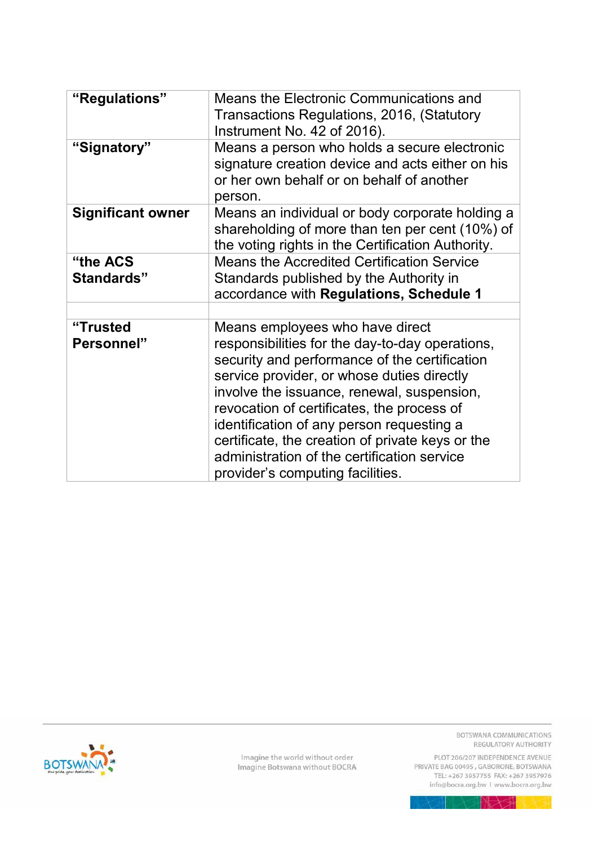| "Regulations"            | Means the Electronic Communications and<br>Transactions Regulations, 2016, (Statutory<br>Instrument No. 42 of 2016).                                                                                                                                                                                                                                                                                                                                              |
|--------------------------|-------------------------------------------------------------------------------------------------------------------------------------------------------------------------------------------------------------------------------------------------------------------------------------------------------------------------------------------------------------------------------------------------------------------------------------------------------------------|
| "Signatory"              | Means a person who holds a secure electronic<br>signature creation device and acts either on his<br>or her own behalf or on behalf of another<br>person.                                                                                                                                                                                                                                                                                                          |
| <b>Significant owner</b> | Means an individual or body corporate holding a<br>shareholding of more than ten per cent (10%) of<br>the voting rights in the Certification Authority.                                                                                                                                                                                                                                                                                                           |
| "the ACS<br>Standards"   | <b>Means the Accredited Certification Service</b><br>Standards published by the Authority in<br>accordance with Regulations, Schedule 1                                                                                                                                                                                                                                                                                                                           |
| "Trusted<br>Personnel"   | Means employees who have direct<br>responsibilities for the day-to-day operations,<br>security and performance of the certification<br>service provider, or whose duties directly<br>involve the issuance, renewal, suspension,<br>revocation of certificates, the process of<br>identification of any person requesting a<br>certificate, the creation of private keys or the<br>administration of the certification service<br>provider's computing facilities. |



Imagine the world without order<br>Imagine Botswana without BOCRA

BOTSWANA COMMUNICATIONS REGULATORY AUTHORITY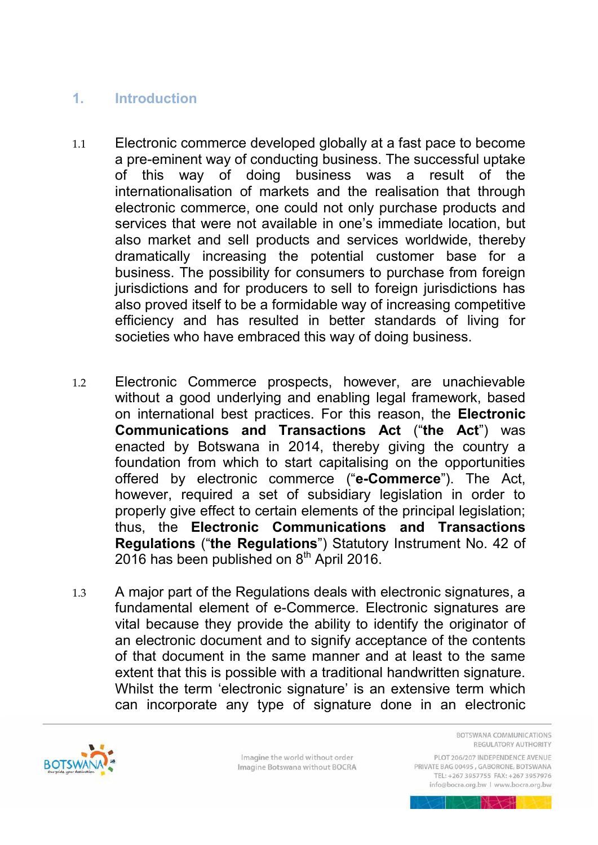# <span id="page-5-0"></span>**1. Introduction**

- 1.1 Electronic commerce developed globally at a fast pace to become a pre-eminent way of conducting business. The successful uptake of this way of doing business was a result of the internationalisation of markets and the realisation that through electronic commerce, one could not only purchase products and services that were not available in one's immediate location, but also market and sell products and services worldwide, thereby dramatically increasing the potential customer base for a business. The possibility for consumers to purchase from foreign jurisdictions and for producers to sell to foreign jurisdictions has also proved itself to be a formidable way of increasing competitive efficiency and has resulted in better standards of living for societies who have embraced this way of doing business.
- 1.2 Electronic Commerce prospects, however, are unachievable without a good underlying and enabling legal framework, based on international best practices. For this reason, the **Electronic Communications and Transactions Act** ("**the Act**") was enacted by Botswana in 2014, thereby giving the country a foundation from which to start capitalising on the opportunities offered by electronic commerce ("**e-Commerce**"). The Act, however, required a set of subsidiary legislation in order to properly give effect to certain elements of the principal legislation; thus, the **Electronic Communications and Transactions Regulations** ("**the Regulations**") Statutory Instrument No. 42 of 2016 has been published on 8<sup>th</sup> April 2016.
- 1.3 A major part of the Regulations deals with electronic signatures, a fundamental element of e-Commerce. Electronic signatures are vital because they provide the ability to identify the originator of an electronic document and to signify acceptance of the contents of that document in the same manner and at least to the same extent that this is possible with a traditional handwritten signature. Whilst the term 'electronic signature' is an extensive term which can incorporate any type of signature done in an electronic



Imagine the world without order Imagine Botswana without BOCRA **ROTSWANA COMMUNICATIONS** REGULATORY AUTHORITY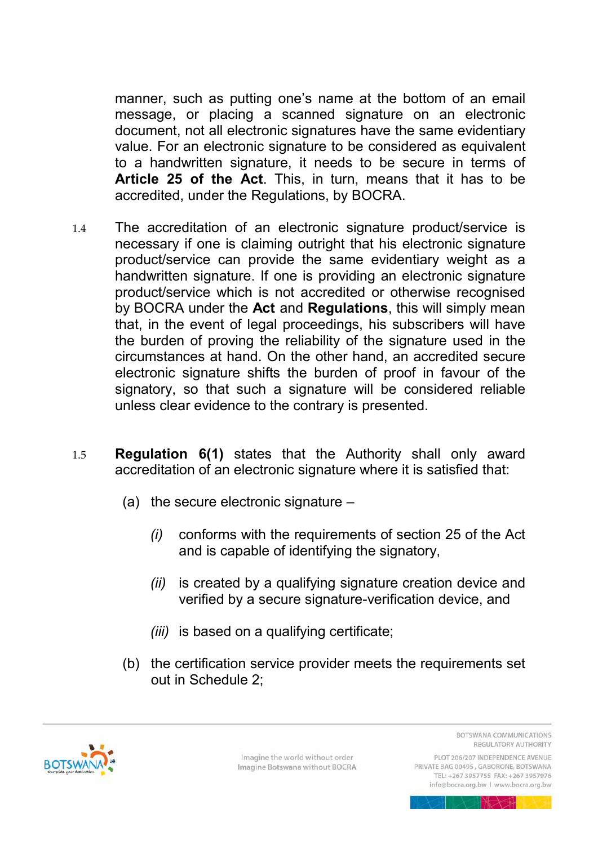manner, such as putting one's name at the bottom of an email message, or placing a scanned signature on an electronic document, not all electronic signatures have the same evidentiary value. For an electronic signature to be considered as equivalent to a handwritten signature, it needs to be secure in terms of **Article 25 of the Act**. This, in turn, means that it has to be accredited, under the Regulations, by BOCRA.

- 1.4 The accreditation of an electronic signature product/service is necessary if one is claiming outright that his electronic signature product/service can provide the same evidentiary weight as a handwritten signature. If one is providing an electronic signature product/service which is not accredited or otherwise recognised by BOCRA under the **Act** and **Regulations**, this will simply mean that, in the event of legal proceedings, his subscribers will have the burden of proving the reliability of the signature used in the circumstances at hand. On the other hand, an accredited secure electronic signature shifts the burden of proof in favour of the signatory, so that such a signature will be considered reliable unless clear evidence to the contrary is presented.
- 1.5 **Regulation 6(1)** states that the Authority shall only award accreditation of an electronic signature where it is satisfied that:
	- (a) the secure electronic signature
		- *(i)* conforms with the requirements of section 25 of the Act and is capable of identifying the signatory,
		- *(ii)* is created by a qualifying signature creation device and verified by a secure signature-verification device, and
		- *(iii)* is based on a qualifying certificate;
	- (b) the certification service provider meets the requirements set out in Schedule 2;



Imagine the world without order Imagine Botswana without BOCRA **BOTSWANA COMMUNICATIONS** REGULATORY AUTHORITY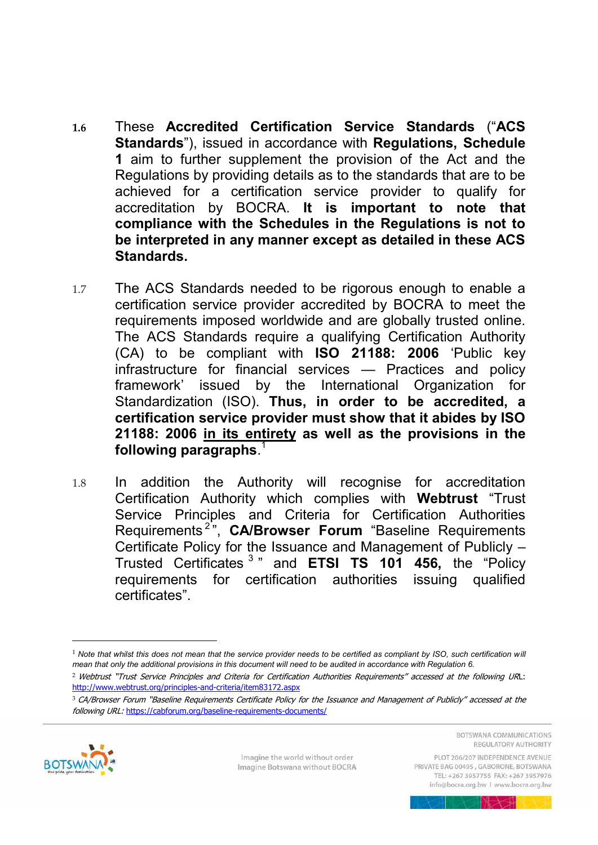- **1.6** These **Accredited Certification Service Standards** ("**ACS Standards**"), issued in accordance with **Regulations, Schedule 1** aim to further supplement the provision of the Act and the Regulations by providing details as to the standards that are to be achieved for a certification service provider to qualify for accreditation by BOCRA. **It is important to note that compliance with the Schedules in the Regulations is not to be interpreted in any manner except as detailed in these ACS Standards.**
- 1.7 The ACS Standards needed to be rigorous enough to enable a certification service provider accredited by BOCRA to meet the requirements imposed worldwide and are globally trusted online. The ACS Standards require a qualifying Certification Authority (CA) to be compliant with **ISO 21188: 2006** 'Public key infrastructure for financial services — Practices and policy framework' issued by the International Organization for Standardization (ISO). **Thus, in order to be accredited, a certification service provider must show that it abides by ISO 21188: 2006 in its entirety as well as the provisions in the following paragraphs**. 1
- 1.8 In addition the Authority will recognise for accreditation Certification Authority which complies with **Webtrust** "Trust Service Principles and Criteria for Certification Authorities Requirements <sup>2</sup> ", **CA/Browser Forum** "Baseline Requirements Certificate Policy for the Issuance and Management of Publicly – Trusted Certificates <sup>3</sup> " and **ETSI TS 101 456,** the "Policy requirements for certification authorities issuing qualified certificates".

<sup>3</sup> CA/Browser Forum "Baseline Requirements Certificate Policy for the Issuance and Management of Publicly" accessed at the following URL: <https://cabforum.org/baseline-requirements-documents/>



 $\overline{a}$ 

Imagine the world without order Imagine Botswana without BOCRA **ROTSWANA COMMUNICATIONS** REGULATORY AUTHORITY

<sup>&</sup>lt;sup>1</sup> Note that whilst this does not mean that the service provider needs to be certified as compliant by ISO, such certification will *mean that only the additional provisions in this document will need to be audited in accordance with Regulation 6.* 

<sup>2</sup> Webtrust "Trust Service Principles and Criteria for Certification Authorities Requirements" accessed at the following URL: <http://www.webtrust.org/principles-and-criteria/item83172.aspx>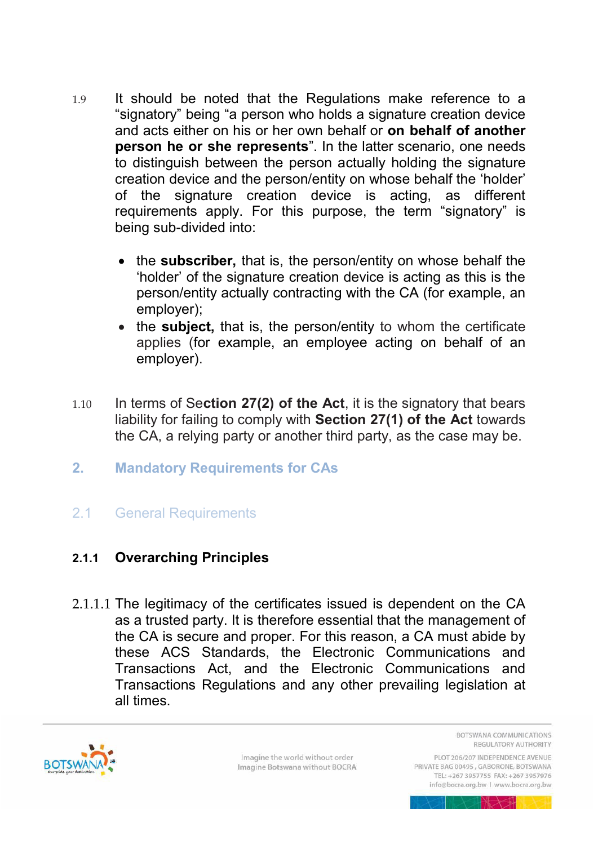- 1.9 It should be noted that the Regulations make reference to a "signatory" being "a person who holds a signature creation device and acts either on his or her own behalf or **on behalf of another person he or she represents**". In the latter scenario, one needs to distinguish between the person actually holding the signature creation device and the person/entity on whose behalf the 'holder' of the signature creation device is acting, as different requirements apply. For this purpose, the term "signatory" is being sub-divided into:
	- the **subscriber,** that is, the person/entity on whose behalf the 'holder' of the signature creation device is acting as this is the person/entity actually contracting with the CA (for example, an employer);
	- the **subject**, that is, the person/entity to whom the certificate applies (for example, an employee acting on behalf of an employer).
- 1.10 In terms of Se**ction 27(2) of the Act**, it is the signatory that bears liability for failing to comply with **Section 27(1) of the Act** towards the CA, a relying party or another third party, as the case may be.
- <span id="page-8-0"></span>**2. Mandatory Requirements for CAs**
- <span id="page-8-1"></span>2.1 General Requirements

# <span id="page-8-2"></span>**2.1.1 Overarching Principles**

2.1.1.1 The legitimacy of the certificates issued is dependent on the CA as a trusted party. It is therefore essential that the management of the CA is secure and proper. For this reason, a CA must abide by these ACS Standards, the Electronic Communications and Transactions Act, and the Electronic Communications and Transactions Regulations and any other prevailing legislation at all times.



Imagine the world without order Imagine Botswana without BOCRA **BOTSWANA COMMUNICATIONS** REGULATORY AUTHORITY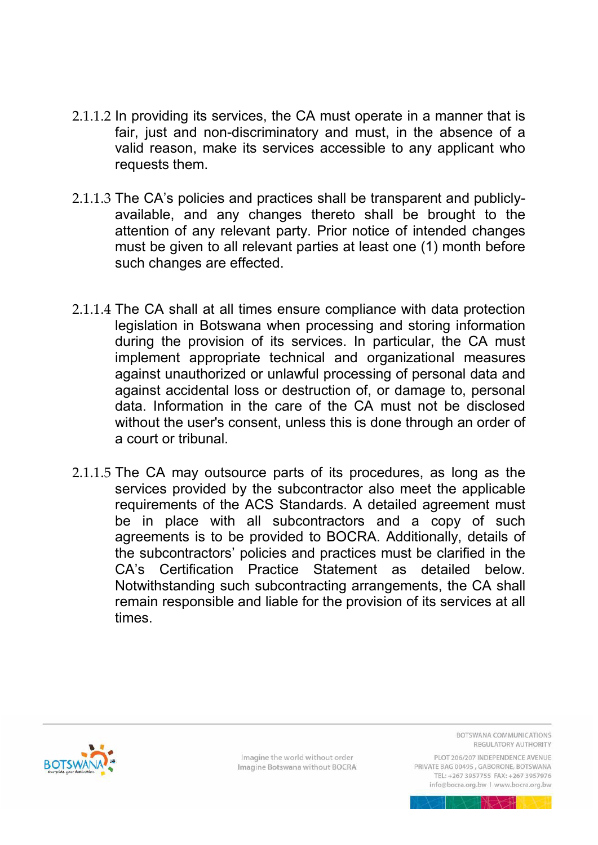- 2.1.1.2 In providing its services, the CA must operate in a manner that is fair, just and non-discriminatory and must, in the absence of a valid reason, make its services accessible to any applicant who requests them.
- 2.1.1.3 The CA's policies and practices shall be transparent and publiclyavailable, and any changes thereto shall be brought to the attention of any relevant party. Prior notice of intended changes must be given to all relevant parties at least one (1) month before such changes are effected.
- 2.1.1.4 The CA shall at all times ensure compliance with data protection legislation in Botswana when processing and storing information during the provision of its services. In particular, the CA must implement appropriate technical and organizational measures against unauthorized or unlawful processing of personal data and against accidental loss or destruction of, or damage to, personal data. Information in the care of the CA must not be disclosed without the user's consent, unless this is done through an order of a court or tribunal.
- 2.1.1.5 The CA may outsource parts of its procedures, as long as the services provided by the subcontractor also meet the applicable requirements of the ACS Standards. A detailed agreement must be in place with all subcontractors and a copy of such agreements is to be provided to BOCRA. Additionally, details of the subcontractors' policies and practices must be clarified in the CA's Certification Practice Statement as detailed below. Notwithstanding such subcontracting arrangements, the CA shall remain responsible and liable for the provision of its services at all times.



Imagine the world without order Imagine Botswana without BOCRA BOTSWANA COMMUNICATIONS REGULATORY AUTHORITY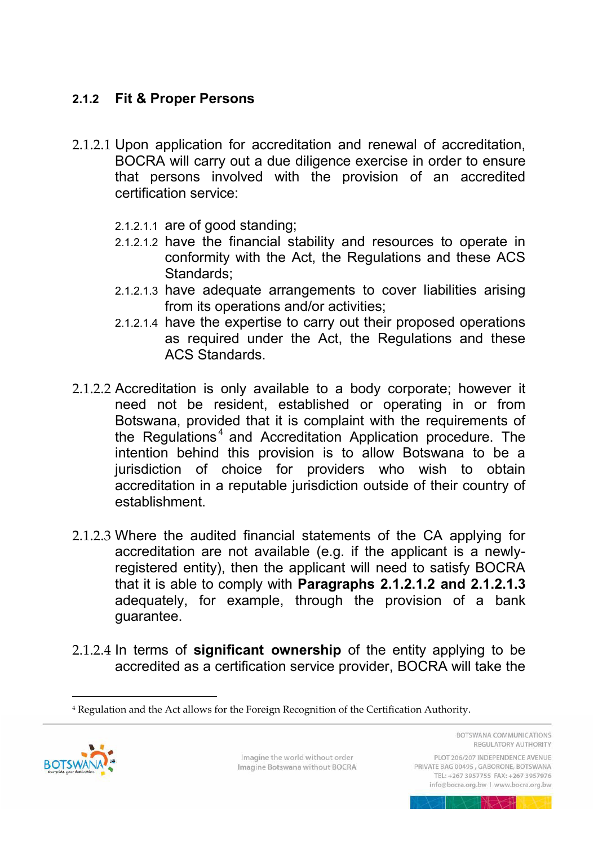# <span id="page-10-0"></span>**2.1.2 Fit & Proper Persons**

- <span id="page-10-1"></span>2.1.2.1 Upon application for accreditation and renewal of accreditation, BOCRA will carry out a due diligence exercise in order to ensure that persons involved with the provision of an accredited certification service:
	- 2.1.2.1.1 are of good standing;
	- 2.1.2.1.2 have the financial stability and resources to operate in conformity with the Act, the Regulations and these ACS Standards;
	- 2.1.2.1.3 have adequate arrangements to cover liabilities arising from its operations and/or activities;
	- 2.1.2.1.4 have the expertise to carry out their proposed operations as required under the Act, the Regulations and these ACS Standards.
- <span id="page-10-2"></span>2.1.2.2 Accreditation is only available to a body corporate; however it need not be resident, established or operating in or from Botswana, provided that it is complaint with the requirements of the Regulations<sup>4</sup> and Accreditation Application procedure. The intention behind this provision is to allow Botswana to be a jurisdiction of choice for providers who wish to obtain accreditation in a reputable jurisdiction outside of their country of establishment.
- 2.1.2.3 Where the audited financial statements of the CA applying for accreditation are not available (e.g. if the applicant is a newlyregistered entity), then the applicant will need to satisfy BOCRA that it is able to comply with **Paragraphs [2.1.2.1.2](#page-10-1) and [2.1.2.1.3](#page-10-2)** adequately, for example, through the provision of a bank guarantee.
- 2.1.2.4 In terms of **significant ownership** of the entity applying to be accredited as a certification service provider, BOCRA will take the

<sup>4</sup> Regulation and the Act allows for the Foreign Recognition of the Certification Authority.



 $\overline{a}$ 

Imagine the world without order Imagine Botswana without BOCRA BOTSWANA COMMUNICATIONS REGULATORY AUTHORITY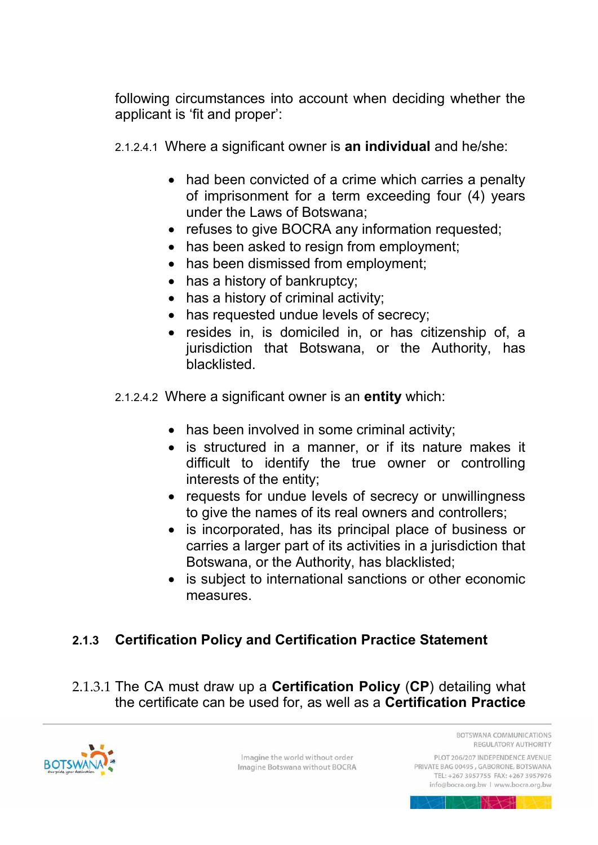following circumstances into account when deciding whether the applicant is 'fit and proper':

2.1.2.4.1 Where a significant owner is **an individual** and he/she:

- had been convicted of a crime which carries a penalty of imprisonment for a term exceeding four (4) years under the Laws of Botswana;
- refuses to give BOCRA any information requested;
- has been asked to resign from employment;
- has been dismissed from employment;
- has a history of bankruptcy;
- has a history of criminal activity;
- has requested undue levels of secrecy;
- resides in, is domiciled in, or has citizenship of, a jurisdiction that Botswana, or the Authority, has blacklisted.
- 2.1.2.4.2 Where a significant owner is an **entity** which:
	- has been involved in some criminal activity;
	- is structured in a manner, or if its nature makes it difficult to identify the true owner or controlling interests of the entity;
	- requests for undue levels of secrecy or unwillingness to give the names of its real owners and controllers;
	- is incorporated, has its principal place of business or carries a larger part of its activities in a jurisdiction that Botswana, or the Authority, has blacklisted;
	- is subject to international sanctions or other economic measures.

# <span id="page-11-0"></span>**2.1.3 Certification Policy and Certification Practice Statement**

2.1.3.1 The CA must draw up a **Certification Policy** (**CP**) detailing what the certificate can be used for, as well as a **Certification Practice** 



Imagine the world without order Imagine Botswana without BOCRA **ROTSWANA COMMUNICATIONS** REGULATORY AUTHORITY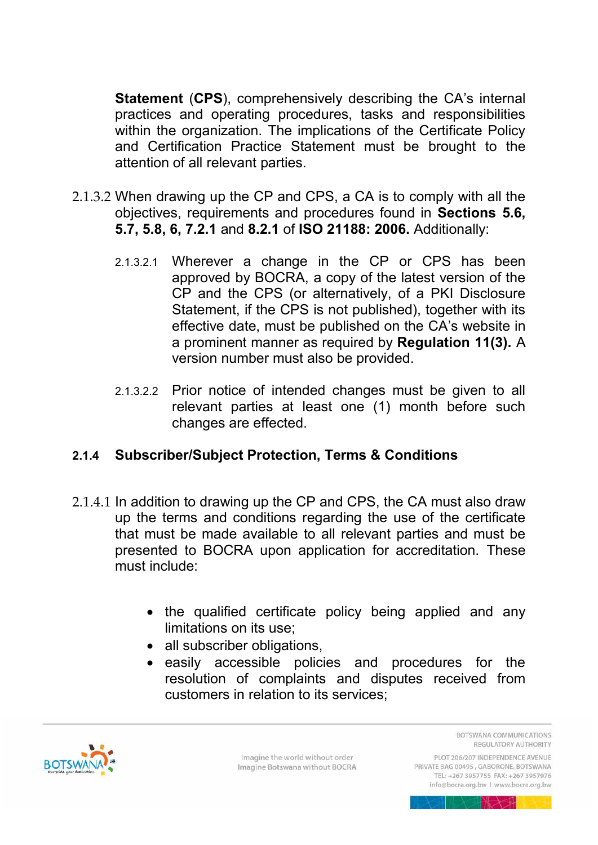**Statement** (**CPS**), comprehensively describing the CA's internal practices and operating procedures, tasks and responsibilities within the organization. The implications of the Certificate Policy and Certification Practice Statement must be brought to the attention of all relevant parties.

- 2.1.3.2 When drawing up the CP and CPS, a CA is to comply with all the objectives, requirements and procedures found in **Sections 5.6, 5.7, 5.8, 6, 7.2.1** and **8.2.1** of **ISO 21188: 2006.** Additionally:
	- 2.1.3.2.1 Wherever a change in the CP or CPS has been approved by BOCRA, a copy of the latest version of the CP and the CPS (or alternatively, of a PKI Disclosure Statement, if the CPS is not published), together with its effective date, must be published on the CA's website in a prominent manner as required by **Regulation 11(3).** A version number must also be provided.
	- 2.1.3.2.2 Prior notice of intended changes must be given to all relevant parties at least one (1) month before such changes are effected.

# <span id="page-12-0"></span>**2.1.4 Subscriber/Subject Protection, Terms & Conditions**

- 2.1.4.1 In addition to drawing up the CP and CPS, the CA must also draw up the terms and conditions regarding the use of the certificate that must be made available to all relevant parties and must be presented to BOCRA upon application for accreditation. These must include:
	- the qualified certificate policy being applied and any limitations on its use;
	- all subscriber obligations,
	- easily accessible policies and procedures for the resolution of complaints and disputes received from customers in relation to its services;



Imagine the world without order Imagine Botswana without BOCRA BOTSWANA COMMUNICATIONS REGULATORY AUTHORITY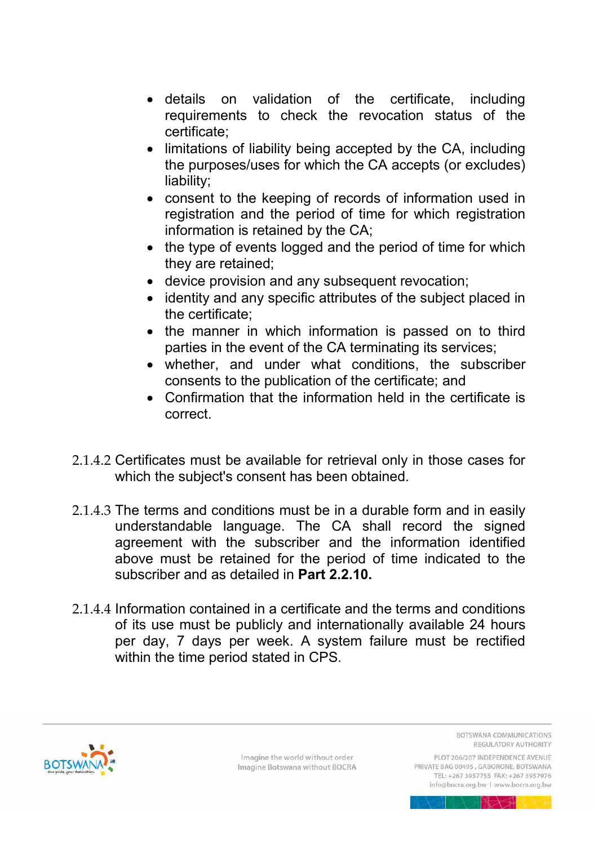- details on validation of the certificate, including requirements to check the revocation status of the certificate;
- limitations of liability being accepted by the CA, including the purposes/uses for which the CA accepts (or excludes) liability;
- consent to the keeping of records of information used in registration and the period of time for which registration information is retained by the CA;
- the type of events logged and the period of time for which they are retained;
- device provision and any subsequent revocation;
- identity and any specific attributes of the subject placed in the certificate;
- the manner in which information is passed on to third parties in the event of the CA terminating its services;
- whether, and under what conditions, the subscriber consents to the publication of the certificate; and
- Confirmation that the information held in the certificate is correct.
- 2.1.4.2 Certificates must be available for retrieval only in those cases for which the subject's consent has been obtained.
- 2.1.4.3 The terms and conditions must be in a durable form and in easily understandable language. The CA shall record the signed agreement with the subscriber and the information identified above must be retained for the period of time indicated to the subscriber and as detailed in **Part [2.2.10.](#page-19-1)**
- 2.1.4.4 Information contained in a certificate and the terms and conditions of its use must be publicly and internationally available 24 hours per day, 7 days per week. A system failure must be rectified within the time period stated in CPS.



Imagine the world without order Imagine Botswana without BOCRA **BOTSWANA COMMUNICATIONS** REGULATORY AUTHORITY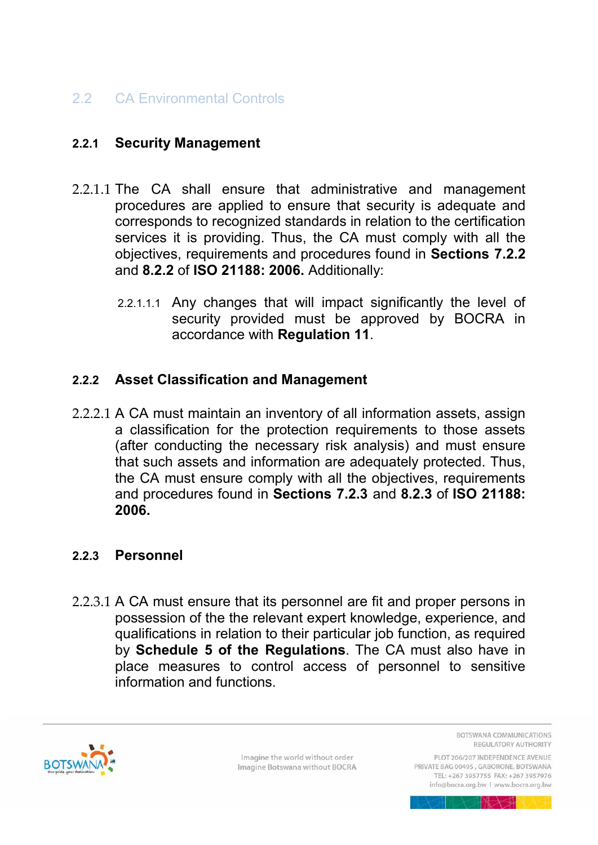# <span id="page-14-0"></span>2.2 CA Environmental Controls

#### <span id="page-14-1"></span>**2.2.1 Security Management**

- 2.2.1.1 The CA shall ensure that administrative and management procedures are applied to ensure that security is adequate and corresponds to recognized standards in relation to the certification services it is providing. Thus, the CA must comply with all the objectives, requirements and procedures found in **Sections 7.2.2**  and **8.2.2** of **ISO 21188: 2006.** Additionally:
	- 2.2.1.1.1 Any changes that will impact significantly the level of security provided must be approved by BOCRA in accordance with **Regulation 11**.

#### <span id="page-14-2"></span>**2.2.2 Asset Classification and Management**

2.2.2.1 A CA must maintain an inventory of all information assets, assign a classification for the protection requirements to those assets (after conducting the necessary risk analysis) and must ensure that such assets and information are adequately protected. Thus, the CA must ensure comply with all the objectives, requirements and procedures found in **Sections 7.2.3** and **8.2.3** of **ISO 21188: 2006.** 

#### <span id="page-14-3"></span>**2.2.3 Personnel**

2.2.3.1 A CA must ensure that its personnel are fit and proper persons in possession of the the relevant expert knowledge, experience, and qualifications in relation to their particular job function, as required by **Schedule 5 of the Regulations**. The CA must also have in place measures to control access of personnel to sensitive information and functions.



Imagine the world without order Imagine Botswana without BOCRA BOTSWANA COMMUNICATIONS REGULATORY AUTHORITY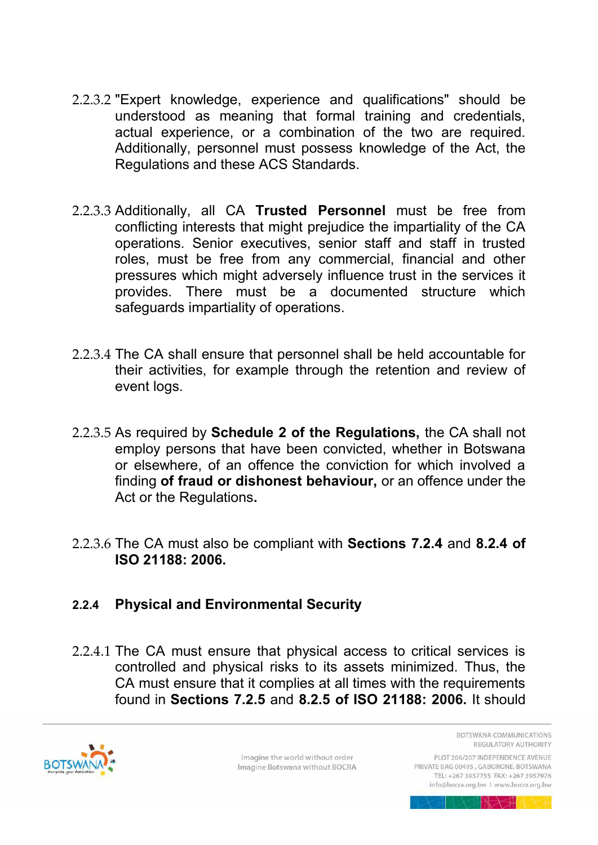- 2.2.3.2 "Expert knowledge, experience and qualifications" should be understood as meaning that formal training and credentials, actual experience, or a combination of the two are required. Additionally, personnel must possess knowledge of the Act, the Regulations and these ACS Standards.
- 2.2.3.3 Additionally, all CA **Trusted Personnel** must be free from conflicting interests that might prejudice the impartiality of the CA operations. Senior executives, senior staff and staff in trusted roles, must be free from any commercial, financial and other pressures which might adversely influence trust in the services it provides. There must be a documented structure which safeguards impartiality of operations.
- 2.2.3.4 The CA shall ensure that personnel shall be held accountable for their activities, for example through the retention and review of event logs.
- 2.2.3.5 As required by **Schedule 2 of the Regulations,** the CA shall not employ persons that have been convicted, whether in Botswana or elsewhere, of an offence the conviction for which involved a finding **of fraud or dishonest behaviour,** or an offence under the Act or the Regulations**.**
- 2.2.3.6 The CA must also be compliant with **Sections 7.2.4** and **8.2.4 of ISO 21188: 2006.**

# <span id="page-15-0"></span>**2.2.4 Physical and Environmental Security**

2.2.4.1 The CA must ensure that physical access to critical services is controlled and physical risks to its assets minimized. Thus, the CA must ensure that it complies at all times with the requirements found in **Sections 7.2.5** and **8.2.5 of ISO 21188: 2006.** It should



Imagine the world without order Imagine Botswana without BOCRA BOTSWANA COMMUNICATIONS REGULATORY AUTHORITY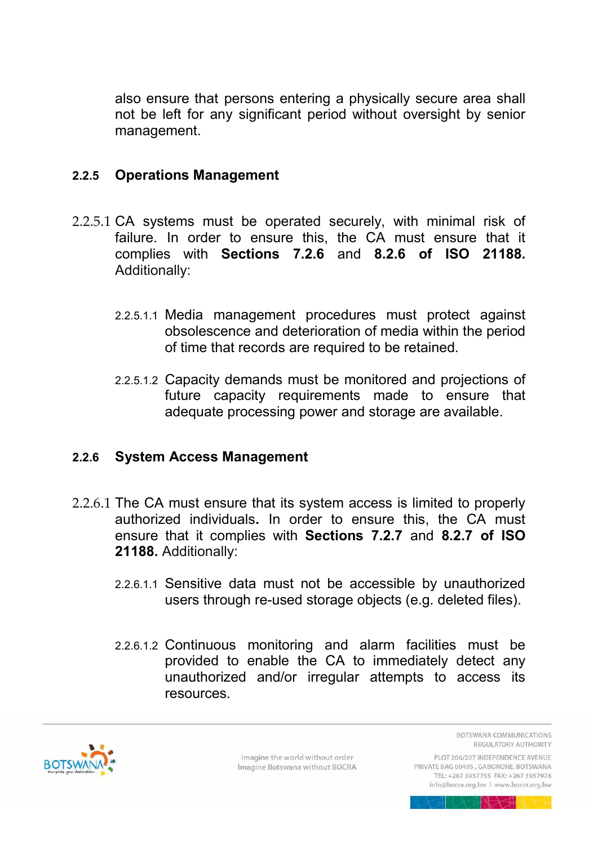also ensure that persons entering a physically secure area shall not be left for any significant period without oversight by senior management.

#### <span id="page-16-0"></span>**2.2.5 Operations Management**

- 2.2.5.1 CA systems must be operated securely, with minimal risk of failure. In order to ensure this, the CA must ensure that it complies with **Sections 7.2.6** and **8.2.6 of ISO 21188.**  Additionally:
	- 2.2.5.1.1 Media management procedures must protect against obsolescence and deterioration of media within the period of time that records are required to be retained.
	- 2.2.5.1.2 Capacity demands must be monitored and projections of future capacity requirements made to ensure that adequate processing power and storage are available.

#### <span id="page-16-1"></span>**2.2.6 System Access Management**

- 2.2.6.1 The CA must ensure that its system access is limited to properly authorized individuals**.** In order to ensure this, the CA must ensure that it complies with **Sections 7.2.7** and **8.2.7 of ISO 21188.** Additionally:
	- 2.2.6.1.1 Sensitive data must not be accessible by unauthorized users through re-used storage objects (e.g. deleted files).
	- 2.2.6.1.2 Continuous monitoring and alarm facilities must be provided to enable the CA to immediately detect any unauthorized and/or irregular attempts to access its resources.



Imagine the world without order Imagine Botswana without BOCRA BOTSWANA COMMUNICATIONS REGULATORY AUTHORITY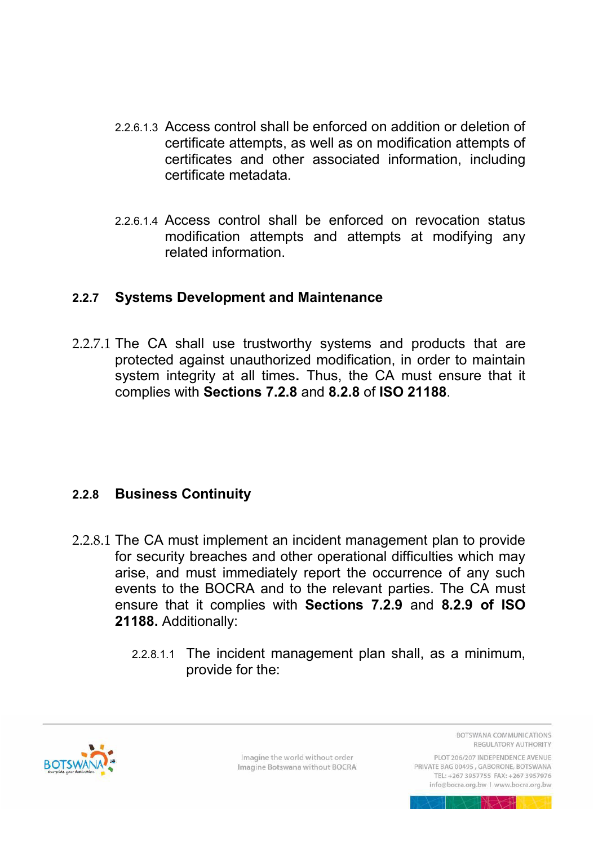- 2.2.6.1.3 Access control shall be enforced on addition or deletion of certificate attempts, as well as on modification attempts of certificates and other associated information, including certificate metadata.
- 2.2.6.1.4 Access control shall be enforced on revocation status modification attempts and attempts at modifying any related information.

#### <span id="page-17-0"></span>**2.2.7 Systems Development and Maintenance**

2.2.7.1 The CA shall use trustworthy systems and products that are protected against unauthorized modification, in order to maintain system integrity at all times**.** Thus, the CA must ensure that it complies with **Sections 7.2.8** and **8.2.8** of **ISO 21188**.

# <span id="page-17-1"></span>**2.2.8 Business Continuity**

- 2.2.8.1 The CA must implement an incident management plan to provide for security breaches and other operational difficulties which may arise, and must immediately report the occurrence of any such events to the BOCRA and to the relevant parties. The CA must ensure that it complies with **Sections 7.2.9** and **8.2.9 of ISO 21188.** Additionally:
	- 2.2.8.1.1 The incident management plan shall, as a minimum, provide for the:



Imagine the world without order Imagine Botswana without BOCRA BOTSWANA COMMUNICATIONS REGULATORY AUTHORITY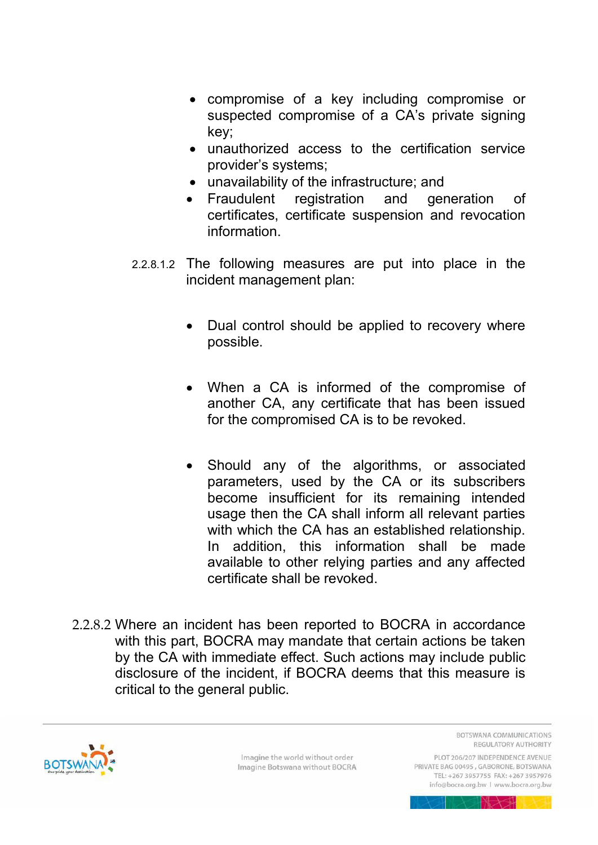- compromise of a key including compromise or suspected compromise of a CA's private signing key;
- unauthorized access to the certification service provider's systems;
- unavailability of the infrastructure; and
- Fraudulent registration and generation of certificates, certificate suspension and revocation information.
- 2.2.8.1.2 The following measures are put into place in the incident management plan:
	- Dual control should be applied to recovery where possible.
	- When a CA is informed of the compromise of another CA, any certificate that has been issued for the compromised CA is to be revoked.
	- Should any of the algorithms, or associated parameters, used by the CA or its subscribers become insufficient for its remaining intended usage then the CA shall inform all relevant parties with which the CA has an established relationship. In addition, this information shall be made available to other relying parties and any affected certificate shall be revoked.
- 2.2.8.2 Where an incident has been reported to BOCRA in accordance with this part, BOCRA may mandate that certain actions be taken by the CA with immediate effect. Such actions may include public disclosure of the incident, if BOCRA deems that this measure is critical to the general public.



Imagine the world without order Imagine Botswana without BOCRA **BOTSWANA COMMUNICATIONS** REGULATORY AUTHORITY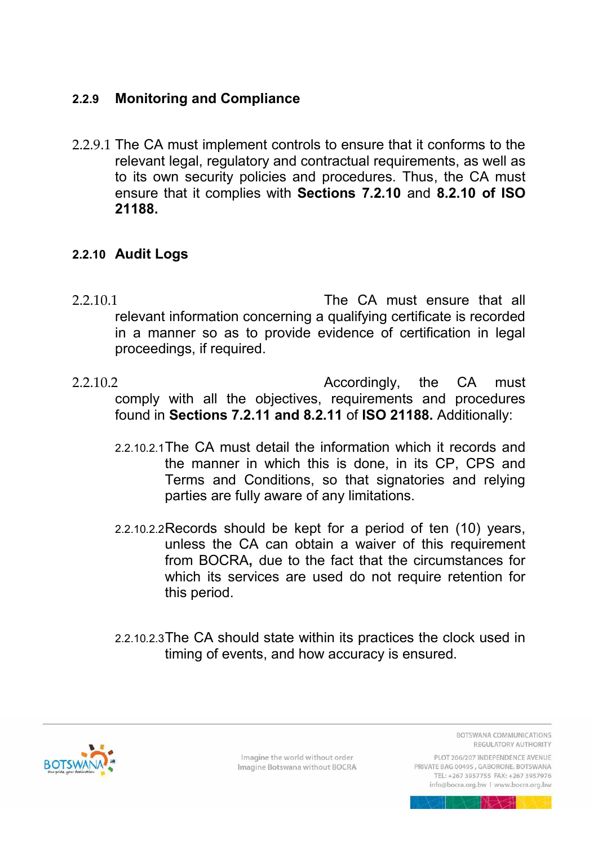# <span id="page-19-0"></span>**2.2.9 Monitoring and Compliance**

2.2.9.1 The CA must implement controls to ensure that it conforms to the relevant legal, regulatory and contractual requirements, as well as to its own security policies and procedures. Thus, the CA must ensure that it complies with **Sections 7.2.10** and **8.2.10 of ISO 21188.** 

#### <span id="page-19-1"></span>**2.2.10 Audit Logs**

- 2.2.10.1 The CA must ensure that all relevant information concerning a qualifying certificate is recorded in a manner so as to provide evidence of certification in legal proceedings, if required.
- 2.2.10.2 Accordingly, the CA must comply with all the objectives, requirements and procedures found in **Sections 7.2.11 and 8.2.11** of **ISO 21188.** Additionally:
	- 2.2.10.2.1 The CA must detail the information which it records and the manner in which this is done, in its CP, CPS and Terms and Conditions, so that signatories and relying parties are fully aware of any limitations.
	- 2.2.10.2.2 Records should be kept for a period of ten (10) years, unless the CA can obtain a waiver of this requirement from BOCRA**,** due to the fact that the circumstances for which its services are used do not require retention for this period.
	- 2.2.10.2.3 The CA should state within its practices the clock used in timing of events, and how accuracy is ensured.



Imagine the world without order Imagine Botswana without BOCRA **BOTSWANA COMMUNICATIONS** REGULATORY AUTHORITY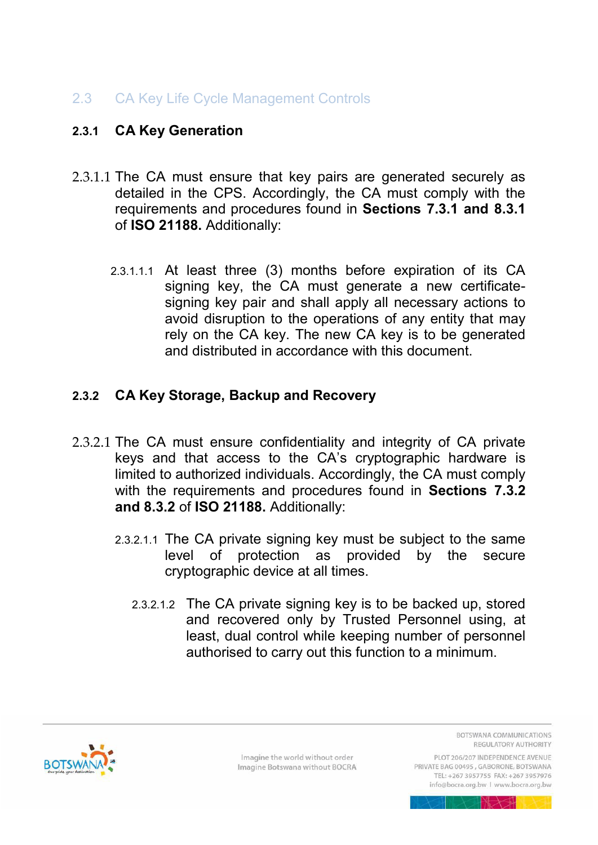# <span id="page-20-0"></span>2.3 CA Key Life Cycle Management Controls

#### <span id="page-20-1"></span>**2.3.1 CA Key Generation**

- 2.3.1.1 The CA must ensure that key pairs are generated securely as detailed in the CPS. Accordingly, the CA must comply with the requirements and procedures found in **Sections 7.3.1 and 8.3.1** of **ISO 21188.** Additionally:
	- 2.3.1.1.1 At least three (3) months before expiration of its CA signing key, the CA must generate a new certificatesigning key pair and shall apply all necessary actions to avoid disruption to the operations of any entity that may rely on the CA key. The new CA key is to be generated and distributed in accordance with this document.

#### <span id="page-20-2"></span>**2.3.2 CA Key Storage, Backup and Recovery**

- 2.3.2.1 The CA must ensure confidentiality and integrity of CA private keys and that access to the CA's cryptographic hardware is limited to authorized individuals. Accordingly, the CA must comply with the requirements and procedures found in **Sections 7.3.2 and 8.3.2** of **ISO 21188.** Additionally:
	- 2.3.2.1.1 The CA private signing key must be subject to the same level of protection as provided by the secure cryptographic device at all times.
		- 2.3.2.1.2 The CA private signing key is to be backed up, stored and recovered only by Trusted Personnel using, at least, dual control while keeping number of personnel authorised to carry out this function to a minimum.



Imagine the world without order Imagine Botswana without BOCRA BOTSWANA COMMUNICATIONS REGULATORY AUTHORITY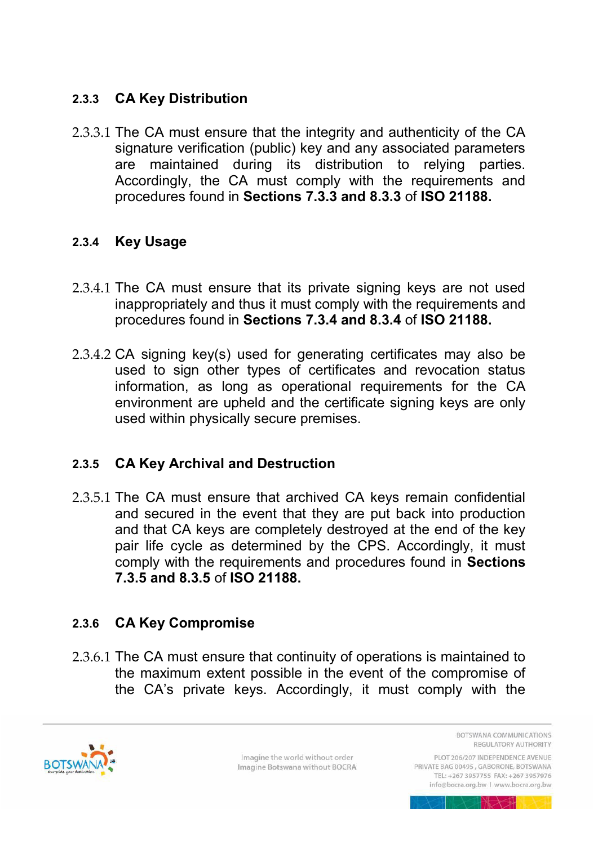# <span id="page-21-0"></span>**2.3.3 CA Key Distribution**

2.3.3.1 The CA must ensure that the integrity and authenticity of the CA signature verification (public) key and any associated parameters are maintained during its distribution to relying parties. Accordingly, the CA must comply with the requirements and procedures found in **Sections 7.3.3 and 8.3.3** of **ISO 21188.**

# <span id="page-21-1"></span>**2.3.4 Key Usage**

- 2.3.4.1 The CA must ensure that its private signing keys are not used inappropriately and thus it must comply with the requirements and procedures found in **Sections 7.3.4 and 8.3.4** of **ISO 21188.**
- 2.3.4.2 CA signing key(s) used for generating certificates may also be used to sign other types of certificates and revocation status information, as long as operational requirements for the CA environment are upheld and the certificate signing keys are only used within physically secure premises.

# <span id="page-21-2"></span>**2.3.5 CA Key Archival and Destruction**

2.3.5.1 The CA must ensure that archived CA keys remain confidential and secured in the event that they are put back into production and that CA keys are completely destroyed at the end of the key pair life cycle as determined by the CPS. Accordingly, it must comply with the requirements and procedures found in **Sections 7.3.5 and 8.3.5** of **ISO 21188.**

# <span id="page-21-3"></span>**2.3.6 CA Key Compromise**

2.3.6.1 The CA must ensure that continuity of operations is maintained to the maximum extent possible in the event of the compromise of the CA's private keys. Accordingly, it must comply with the



Imagine the world without order Imagine Botswana without BOCRA BOTSWANA COMMUNICATIONS REGULATORY AUTHORITY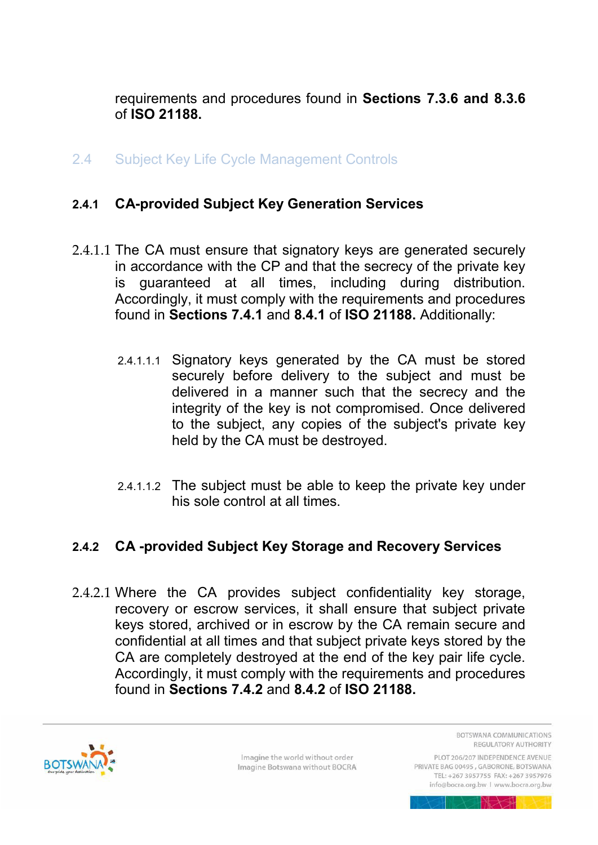requirements and procedures found in **Sections 7.3.6 and 8.3.6** of **ISO 21188.**

<span id="page-22-0"></span>2.4 Subject Key Life Cycle Management Controls

# <span id="page-22-1"></span>**2.4.1 CA-provided Subject Key Generation Services**

- 2.4.1.1 The CA must ensure that signatory keys are generated securely in accordance with the CP and that the secrecy of the private key is guaranteed at all times, including during distribution. Accordingly, it must comply with the requirements and procedures found in **Sections 7.4.1** and **8.4.1** of **ISO 21188.** Additionally:
	- 2.4.1.1.1 Signatory keys generated by the CA must be stored securely before delivery to the subject and must be delivered in a manner such that the secrecy and the integrity of the key is not compromised. Once delivered to the subject, any copies of the subject's private key held by the CA must be destroyed.
	- 2.4.1.1.2 The subject must be able to keep the private key under his sole control at all times.

# <span id="page-22-2"></span>**2.4.2 CA -provided Subject Key Storage and Recovery Services**

2.4.2.1 Where the CA provides subject confidentiality key storage, recovery or escrow services, it shall ensure that subject private keys stored, archived or in escrow by the CA remain secure and confidential at all times and that subject private keys stored by the CA are completely destroyed at the end of the key pair life cycle. Accordingly, it must comply with the requirements and procedures found in **Sections 7.4.2** and **8.4.2** of **ISO 21188.**



Imagine the world without order Imagine Botswana without BOCRA BOTSWANA COMMUNICATIONS REGULATORY AUTHORITY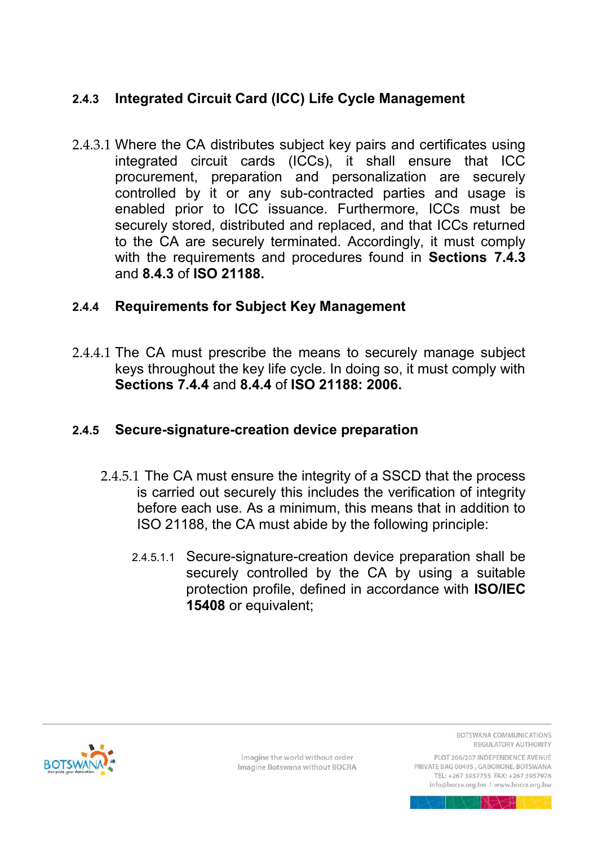# <span id="page-23-0"></span>**2.4.3 Integrated Circuit Card (ICC) Life Cycle Management**

2.4.3.1 Where the CA distributes subject key pairs and certificates using integrated circuit cards (ICCs), it shall ensure that ICC procurement, preparation and personalization are securely controlled by it or any sub-contracted parties and usage is enabled prior to ICC issuance. Furthermore, ICCs must be securely stored, distributed and replaced, and that ICCs returned to the CA are securely terminated. Accordingly, it must comply with the requirements and procedures found in **Sections 7.4.3**  and **8.4.3** of **ISO 21188.**

#### <span id="page-23-1"></span>**2.4.4 Requirements for Subject Key Management**

2.4.4.1 The CA must prescribe the means to securely manage subject keys throughout the key life cycle. In doing so, it must comply with **Sections 7.4.4** and **8.4.4** of **ISO 21188: 2006.**

#### <span id="page-23-2"></span>**2.4.5 Secure-signature-creation device preparation**

- 2.4.5.1 The CA must ensure the integrity of a SSCD that the process is carried out securely this includes the verification of integrity before each use. As a minimum, this means that in addition to ISO 21188, the CA must abide by the following principle:
	- 2.4.5.1.1 Secure-signature-creation device preparation shall be securely controlled by the CA by using a suitable protection profile, defined in accordance with **ISO/IEC 15408** or equivalent;



Imagine the world without order Imagine Botswana without BOCRA BOTSWANA COMMUNICATIONS REGULATORY AUTHORITY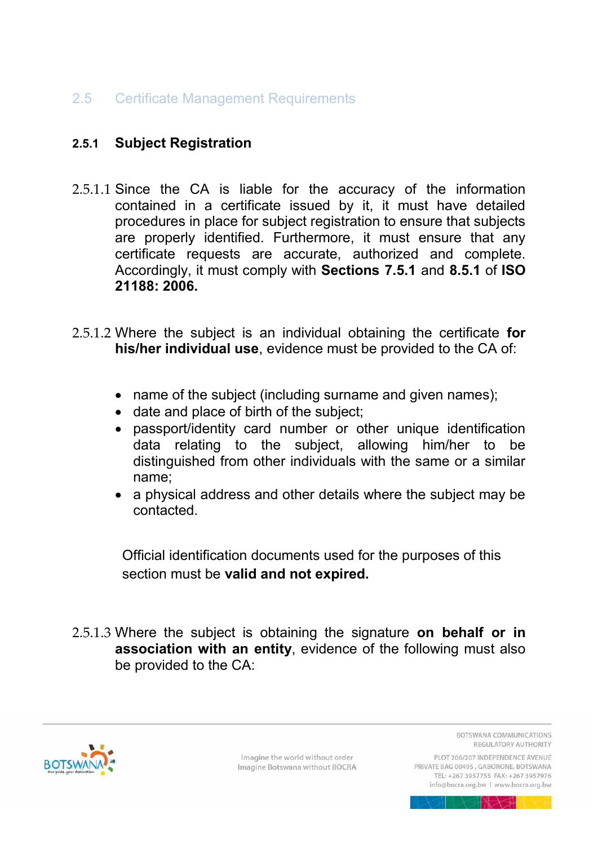# <span id="page-24-0"></span>2.5 Certificate Management Requirements

# <span id="page-24-1"></span>**2.5.1 Subject Registration**

- 2.5.1.1 Since the CA is liable for the accuracy of the information contained in a certificate issued by it, it must have detailed procedures in place for subject registration to ensure that subjects are properly identified. Furthermore, it must ensure that any certificate requests are accurate, authorized and complete. Accordingly, it must comply with **Sections 7.5.1** and **8.5.1** of **ISO 21188: 2006.**
- <span id="page-24-2"></span>2.5.1.2 Where the subject is an individual obtaining the certificate **for his/her individual use**, evidence must be provided to the CA of:
	- name of the subject (including surname and given names);
	- date and place of birth of the subject;
	- passport/identity card number or other unique identification data relating to the subject, allowing him/her to be distinguished from other individuals with the same or a similar name;
	- a physical address and other details where the subject may be contacted.

Official identification documents used for the purposes of this section must be **valid and not expired.**

<span id="page-24-3"></span>2.5.1.3 Where the subject is obtaining the signature **on behalf or in association with an entity**, evidence of the following must also be provided to the CA:



Imagine the world without order Imagine Botswana without BOCRA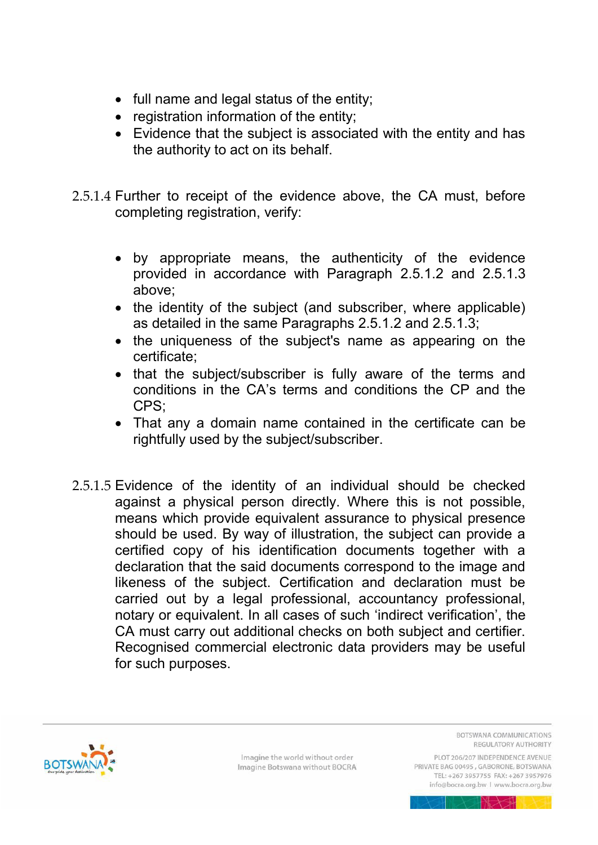- full name and legal status of the entity;
- registration information of the entity;
- Evidence that the subject is associated with the entity and has the authority to act on its behalf.
- 2.5.1.4 Further to receipt of the evidence above, the CA must, before completing registration, verify:
	- by appropriate means, the authenticity of the evidence provided in accordance with Paragraph [2.5.1.2](#page-24-2) and [2.5.1.3](#page-24-3)  above;
	- the identity of the subject (and subscriber, where applicable) as detailed in the same Paragraphs [2.5.1.2](#page-24-2) and [2.5.1.3;](#page-24-3)
	- the uniqueness of the subject's name as appearing on the certificate;
	- that the subject/subscriber is fully aware of the terms and conditions in the CA's terms and conditions the CP and the CPS;
	- That any a domain name contained in the certificate can be rightfully used by the subject/subscriber.
- 2.5.1.5 Evidence of the identity of an individual should be checked against a physical person directly. Where this is not possible, means which provide equivalent assurance to physical presence should be used. By way of illustration, the subject can provide a certified copy of his identification documents together with a declaration that the said documents correspond to the image and likeness of the subject. Certification and declaration must be carried out by a legal professional, accountancy professional, notary or equivalent. In all cases of such 'indirect verification', the CA must carry out additional checks on both subject and certifier. Recognised commercial electronic data providers may be useful for such purposes.



Imagine the world without order Imagine Botswana without BOCRA **BOTSWANA COMMUNICATIONS** REGULATORY AUTHORITY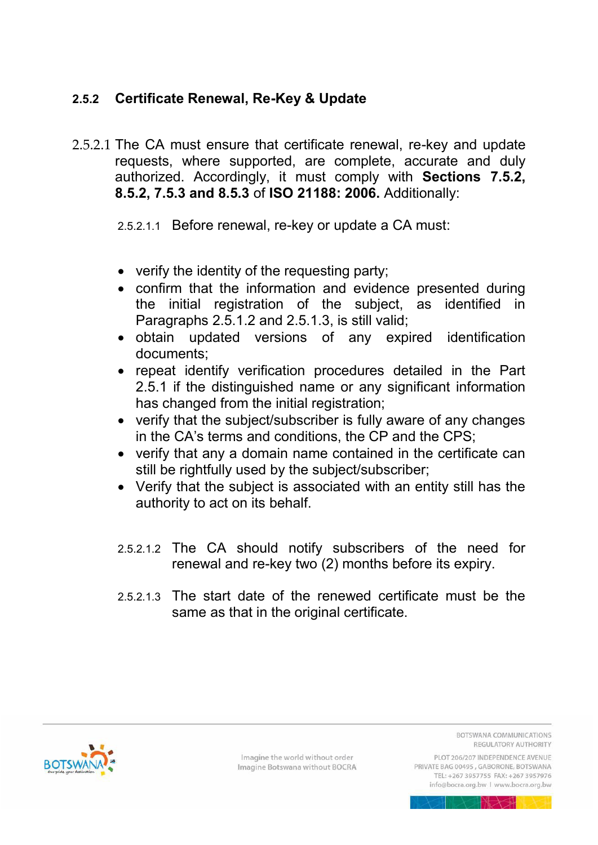# <span id="page-26-0"></span>**2.5.2 Certificate Renewal, Re-Key & Update**

2.5.2.1 The CA must ensure that certificate renewal, re-key and update requests, where supported, are complete, accurate and duly authorized. Accordingly, it must comply with **Sections 7.5.2, 8.5.2, 7.5.3 and 8.5.3** of **ISO 21188: 2006.** Additionally:

2.5.2.1.1 Before renewal, re-key or update a CA must:

- verify the identity of the requesting party;
- confirm that the information and evidence presented during the initial registration of the subject, as identified in Paragraphs [2.5.1.2](#page-24-2) and [2.5.1.3,](#page-24-3) is still valid;
- obtain updated versions of any expired identification documents;
- repeat identify verification procedures detailed in the Part [2.5.1](#page-24-1) if the distinguished name or any significant information has changed from the initial registration;
- verify that the subject/subscriber is fully aware of any changes in the CA's terms and conditions, the CP and the CPS;
- verify that any a domain name contained in the certificate can still be rightfully used by the subject/subscriber;
- Verify that the subject is associated with an entity still has the authority to act on its behalf.
- 2.5.2.1.2 The CA should notify subscribers of the need for renewal and re-key two (2) months before its expiry.
- 2.5.2.1.3 The start date of the renewed certificate must be the same as that in the original certificate.

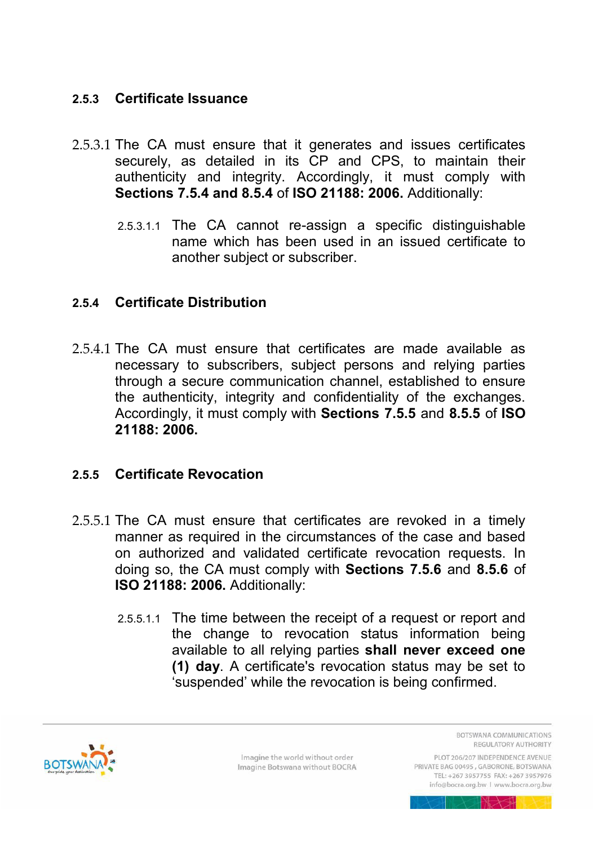# <span id="page-27-0"></span>**2.5.3 Certificate Issuance**

- 2.5.3.1 The CA must ensure that it generates and issues certificates securely, as detailed in its CP and CPS, to maintain their authenticity and integrity. Accordingly, it must comply with **Sections 7.5.4 and 8.5.4** of **ISO 21188: 2006.** Additionally:
	- 2.5.3.1.1 The CA cannot re-assign a specific distinguishable name which has been used in an issued certificate to another subject or subscriber.

#### <span id="page-27-1"></span>**2.5.4 Certificate Distribution**

2.5.4.1 The CA must ensure that certificates are made available as necessary to subscribers, subject persons and relying parties through a secure communication channel, established to ensure the authenticity, integrity and confidentiality of the exchanges. Accordingly, it must comply with **Sections 7.5.5** and **8.5.5** of **ISO 21188: 2006.**

#### <span id="page-27-2"></span>**2.5.5 Certificate Revocation**

- 2.5.5.1 The CA must ensure that certificates are revoked in a timely manner as required in the circumstances of the case and based on authorized and validated certificate revocation requests. In doing so, the CA must comply with **Sections 7.5.6** and **8.5.6** of **ISO 21188: 2006.** Additionally:
	- 2.5.5.1.1 The time between the receipt of a request or report and the change to revocation status information being available to all relying parties **shall never exceed one (1) day**. A certificate's revocation status may be set to 'suspended' while the revocation is being confirmed.



Imagine the world without order Imagine Botswana without BOCRA BOTSWANA COMMUNICATIONS REGULATORY AUTHORITY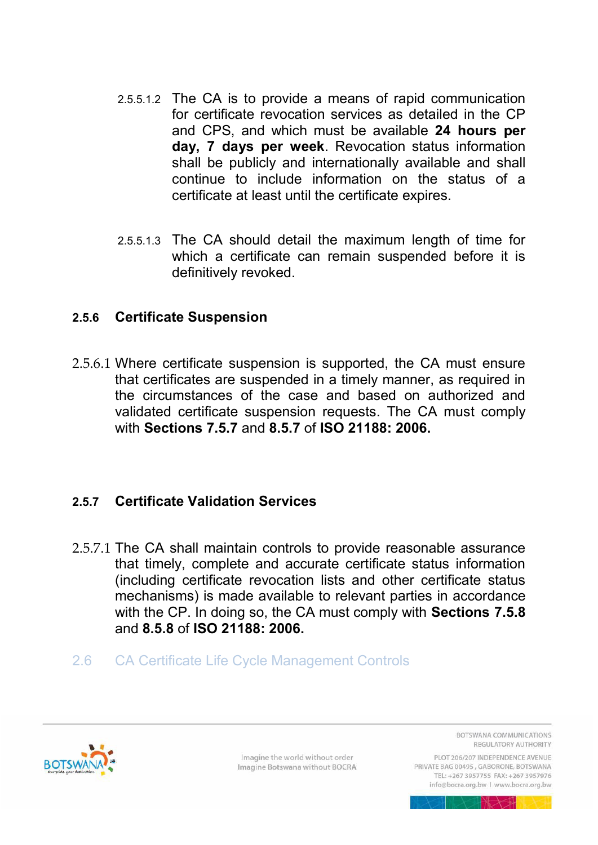- 2.5.5.1.2 The CA is to provide a means of rapid communication for certificate revocation services as detailed in the CP and CPS, and which must be available **24 hours per day, 7 days per week**. Revocation status information shall be publicly and internationally available and shall continue to include information on the status of a certificate at least until the certificate expires.
- 2.5.5.1.3 The CA should detail the maximum length of time for which a certificate can remain suspended before it is definitively revoked.

#### <span id="page-28-0"></span>**2.5.6 Certificate Suspension**

2.5.6.1 Where certificate suspension is supported, the CA must ensure that certificates are suspended in a timely manner, as required in the circumstances of the case and based on authorized and validated certificate suspension requests. The CA must comply with **Sections 7.5.7** and **8.5.7** of **ISO 21188: 2006.**

#### <span id="page-28-1"></span>**2.5.7 Certificate Validation Services**

- 2.5.7.1 The CA shall maintain controls to provide reasonable assurance that timely, complete and accurate certificate status information (including certificate revocation lists and other certificate status mechanisms) is made available to relevant parties in accordance with the CP. In doing so, the CA must comply with **Sections 7.5.8**  and **8.5.8** of **ISO 21188: 2006.**
- <span id="page-28-2"></span>2.6 CA Certificate Life Cycle Management Controls



Imagine the world without order Imagine Botswana without BOCRA **BOTSWANA COMMUNICATIONS** REGULATORY AUTHORITY